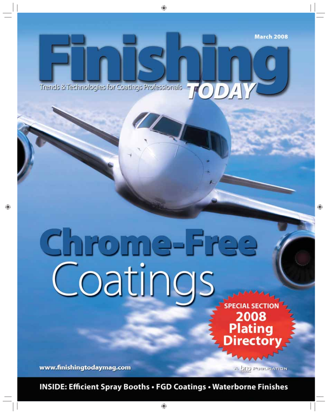Trends & Technologies for Coatings Professionals

# Chrome-Free

**SPECIAL SECTIO** 2008<br>Plating **rector** 

www.finishingtodaymag.com

A ONO PUBLICATION

**INSIDE: Efficient Spray Booths . FGD Coatings . Waterborne Finishes**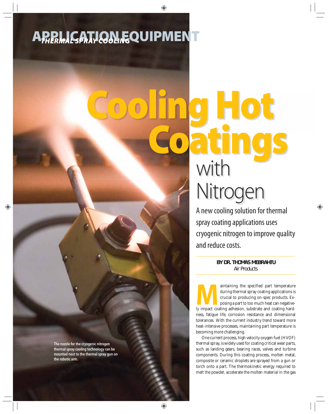# **APPLICATION EQUIPMENT** *THERMAL SPRAY COOLING*

# **Cooling Hot Coatings** with Nitrogen

A new cooling solution for thermal spray coating applications uses cryogenic nitrogen to improve quality and reduce costs.

> **BY DR. THOMAS MEBRAHTU** *Air Products*

aintaining the specified part temperature during thermal spray coating applications is crucial to producing on-spec products. Exposing a part to too much heat can negatively impact coating adhesion, substrate and coating h during thermal spray coating applications is crucial to producing on-spec products. Exposing a part to too much heat can negativeness, fatigue life, corrosion resistance and dimensional tolerances. With the current industry trend toward more heat-intensive processes, maintaining part temperature is becoming more challenging.

One current process, high velocity oxygen fuel (HVOF) thermal spray, is widely used for coating critical wear parts, such as landing gears, bearing races, valves and turbine components. During this coating process, molten metal, composite or ceramic droplets are sprayed from a gun or torch onto a part. The thermokinetic energy required to melt the powder, accelerate the molten material in the gas

**The nozzle for the cryogenic nitrogen thermal spray cooling technology can be mounted next to the thermal spray gun on the robotic arm.**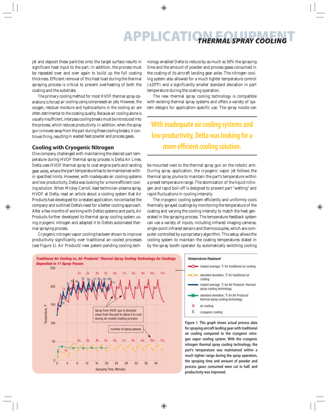### **APPLICATION EQUIPMENT** *THERMAL SPRAY COOLING*

jet and deposit these particles onto the target surface results in significant heat input to the part. In addition, the process must be repeated over and over again to build up the full coating thickness. Efficient removal of this heat load during the thermal spraying process is critical to prevent overheating of both the coating and the substrate.

The primary cooling method for most HVOF thermal spray operations is forced air cooling using compressed air jets. However, the a oxygen, residual moisture and hydrocarbons in the cooling air are m often detrimental to the coating quality. Because air cooling alone is usually insufficient, interpass cooling breaks must be introduced into insufficient the process, which reduces productivity. In addition, when the spray gun is moved away from the part during these cooling breaks, it continues firing, resulting in wasted feed powder and process gases.

#### **Cooling with Cryogenic Nitrogen with**

One company challenged with maintaining the desired part temperature during HVOF thermal spray process is Delta Air Lines. Delta uses HVOF thermal spray to coat engine parts and landing gear axles, where the part temperature has to be maintained with-t in specified limits. However, with inadequate air cooling systems and low productivity, Delta was looking for a more efficient cooling solution. When Mickey Carroll, lead technician-plasma spray, HVOF at Delta, read an article about a cooling system that Air Products had developed for a related application, he contacted the company and outlined Delta's need for a better cooling approach. After a few months of working with Delta's systems and parts, Air Products further developed its thermal spray cooling system using cryogenic nitrogen and adapted it to Delta's automated thermal spraying process.

Cryogenic nitrogen vapor cooling has been shown to improve productivity significantly over traditional air-cooled processes (see Figure 1). Air Products' new patent-pending cooling technology enabled Delta to reduce by as much as 50% the spraying time and the amount of powder and process gases consumed in the coating of its aircraft landing gear axles. The nitrogen cooling system also allowed for a much tighter temperature control (±20°F) and a significantly smaller standard deviation in part temperature during the coating operation.

The new thermal spray cooling technology is compatible with existing thermal spray systems and offers a variety of system designs for application-specific use. The spray nozzle can

#### **With inadequate air cooling systems and low productivity, Delta was looking for a more efficient cooling solution.**

be mounted next to the thermal spray gun on the robotic arm. During spray application, the cryogenic vapor jet follows the thermal spray plume to maintain the part's temperature within a preset temperature range. The atomization of the liquid nitrogen and rapid boil-off is designed to prevent part "wetting" and rapid fluctuations in cooling intensity.

The cryogenic cooling system efficiently and uniformly cools thermally sprayed coatings by monitoring the temperature of the coating and varying the cooling intensity to match the heat generated in the spraying process. The temperature feedback system can use a variety of inputs, including infrared imaging cameras, single-point infrared sensors and thermocouples, which are computer-controlled by a proprietary algorithm. This setup allows the cooling system to maintain the coating temperatures dialed in by the spray booth operator by automatically switching cooling